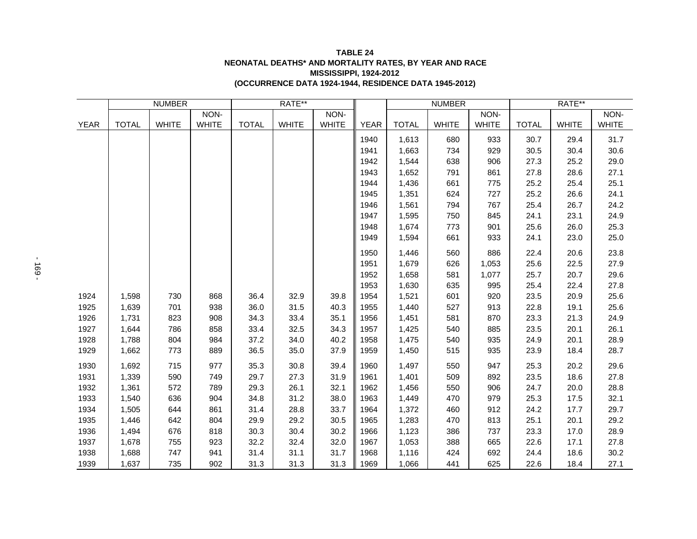## **(OCCURRENCE DATA 1924-1944, RESIDENCE DATA 1945-2012) TABLE 24 NEONATAL DEATHS\* AND MORTALITY RATES, BY YEAR AND RACE MISSISSIPPI, 1924-2012**

|             | <b>NUMBER</b> |              |              | RATE**       |              |              |             | <b>NUMBER</b> |              |              | RATE**       |              |              |
|-------------|---------------|--------------|--------------|--------------|--------------|--------------|-------------|---------------|--------------|--------------|--------------|--------------|--------------|
|             |               |              | NON-         |              |              | NON-         |             |               |              | NON-         |              |              | NON-         |
| <b>YEAR</b> | <b>TOTAL</b>  | <b>WHITE</b> | <b>WHITE</b> | <b>TOTAL</b> | <b>WHITE</b> | <b>WHITE</b> | <b>YEAR</b> | <b>TOTAL</b>  | <b>WHITE</b> | <b>WHITE</b> | <b>TOTAL</b> | <b>WHITE</b> | <b>WHITE</b> |
|             |               |              |              |              |              |              | 1940        | 1,613         | 680          | 933          | 30.7         | 29.4         | 31.7         |
|             |               |              |              |              |              |              | 1941        | 1,663         | 734          | 929          | 30.5         | 30.4         | 30.6         |
|             |               |              |              |              |              |              | 1942        | 1,544         | 638          | 906          | 27.3         | 25.2         | 29.0         |
|             |               |              |              |              |              |              | 1943        | 1,652         | 791          | 861          | 27.8         | 28.6         | 27.1         |
|             |               |              |              |              |              |              | 1944        | 1,436         | 661          | 775          | 25.2         | 25.4         | 25.1         |
|             |               |              |              |              |              |              | 1945        | 1,351         | 624          | 727          | 25.2         | 26.6         | 24.1         |
|             |               |              |              |              |              |              | 1946        | 1,561         | 794          | 767          | 25.4         | 26.7         | 24.2         |
|             |               |              |              |              |              |              | 1947        | 1,595         | 750          | 845          | 24.1         | 23.1         | 24.9         |
|             |               |              |              |              |              |              | 1948        | 1,674         | 773          | 901          | 25.6         | 26.0         | 25.3         |
|             |               |              |              |              |              |              | 1949        | 1,594         | 661          | 933          | 24.1         | 23.0         | 25.0         |
|             |               |              |              |              |              |              | 1950        | 1,446         | 560          | 886          | 22.4         | 20.6         | 23.8         |
|             |               |              |              |              |              |              | 1951        | 1,679         | 626          | 1,053        | 25.6         | 22.5         | 27.9         |
|             |               |              |              |              |              |              | 1952        | 1,658         | 581          | 1,077        | 25.7         | 20.7         | 29.6         |
|             |               |              |              |              |              |              | 1953        | 1,630         | 635          | 995          | 25.4         | 22.4         | 27.8         |
| 1924        | 1,598         | 730          | 868          | 36.4         | 32.9         | 39.8         | 1954        | 1,521         | 601          | 920          | 23.5         | 20.9         | 25.6         |
| 1925        | 1,639         | 701          | 938          | 36.0         | 31.5         | 40.3         | 1955        | 1,440         | 527          | 913          | 22.8         | 19.1         | 25.6         |
| 1926        | 1,731         | 823          | 908          | 34.3         | 33.4         | 35.1         | 1956        | 1,451         | 581          | 870          | 23.3         | 21.3         | 24.9         |
| 1927        | 1,644         | 786          | 858          | 33.4         | 32.5         | 34.3         | 1957        | 1,425         | 540          | 885          | 23.5         | 20.1         | 26.1         |
| 1928        | 1,788         | 804          | 984          | 37.2         | 34.0         | 40.2         | 1958        | 1,475         | 540          | 935          | 24.9         | 20.1         | 28.9         |
| 1929        | 1,662         | 773          | 889          | 36.5         | 35.0         | 37.9         | 1959        | 1,450         | 515          | 935          | 23.9         | 18.4         | 28.7         |
| 1930        | 1,692         | 715          | 977          | 35.3         | 30.8         | 39.4         | 1960        | 1,497         | 550          | 947          | 25.3         | 20.2         | 29.6         |
| 1931        | 1,339         | 590          | 749          | 29.7         | 27.3         | 31.9         | 1961        | 1,401         | 509          | 892          | 23.5         | 18.6         | 27.8         |
| 1932        | 1,361         | 572          | 789          | 29.3         | 26.1         | 32.1         | 1962        | 1,456         | 550          | 906          | 24.7         | 20.0         | 28.8         |
| 1933        | 1,540         | 636          | 904          | 34.8         | 31.2         | 38.0         | 1963        | 1,449         | 470          | 979          | 25.3         | 17.5         | 32.1         |
| 1934        | 1,505         | 644          | 861          | 31.4         | 28.8         | 33.7         | 1964        | 1,372         | 460          | 912          | 24.2         | 17.7         | 29.7         |
| 1935        | 1,446         | 642          | 804          | 29.9         | 29.2         | 30.5         | 1965        | 1,283         | 470          | 813          | 25.1         | 20.1         | 29.2         |
| 1936        | 1,494         | 676          | 818          | 30.3         | 30.4         | 30.2         | 1966        | 1,123         | 386          | 737          | 23.3         | 17.0         | 28.9         |
| 1937        | 1,678         | 755          | 923          | 32.2         | 32.4         | 32.0         | 1967        | 1,053         | 388          | 665          | 22.6         | 17.1         | 27.8         |
| 1938        | 1,688         | 747          | 941          | 31.4         | 31.1         | 31.7         | 1968        | 1,116         | 424          | 692          | 24.4         | 18.6         | 30.2         |
| 1939        | 1,637         | 735          | 902          | 31.3         | 31.3         | 31.3         | 1969        | 1,066         | 441          | 625          | 22.6         | 18.4         | 27.1         |